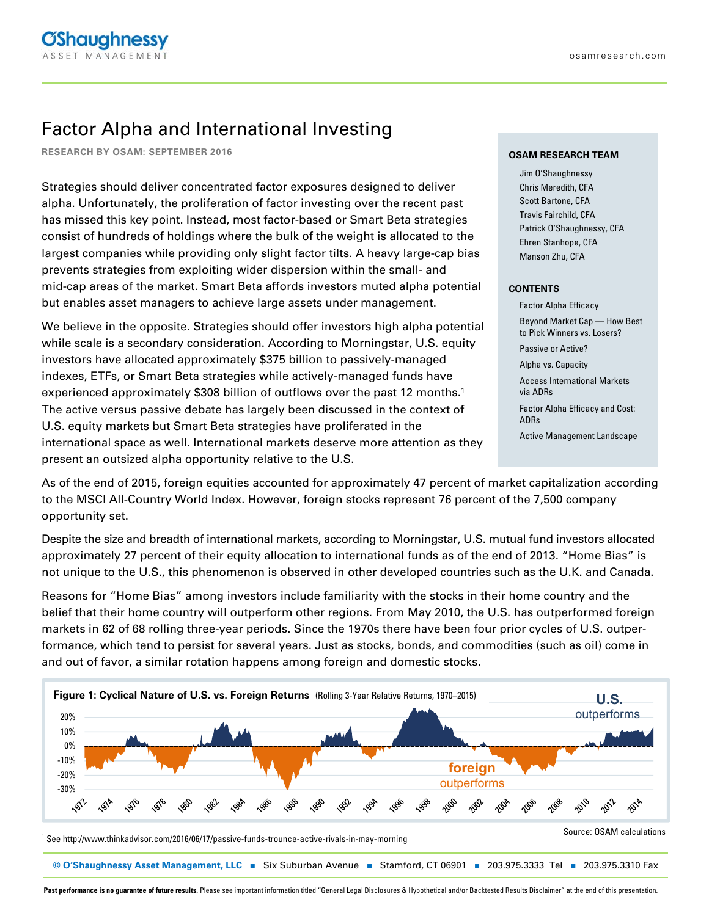# Factor Alpha and International Investing

**RESEARCH BY OSAM: SEPTEMBER 2016**

Strategies should deliver concentrated factor exposures designed to deliver alpha. Unfortunately, the proliferation of factor investing over the recent past has missed this key point. Instead, most factor-based or Smart Beta strategies consist of hundreds of holdings where the bulk of the weight is allocated to the largest companies while providing only slight factor tilts. A heavy large-cap bias prevents strategies from exploiting wider dispersion within the small- and mid-cap areas of the market. Smart Beta affords investors muted alpha potential but enables asset managers to achieve large assets under management.

We believe in the opposite. Strategies should offer investors high alpha potential while scale is a secondary consideration. According to Morningstar, U.S. equity investors have allocated approximately \$375 billion to passively-managed indexes, ETFs, or Smart Beta strategies while actively-managed funds have experienced approximately \$308 billion of outflows over the past 12 months.<sup>1</sup> The active versus passive debate has largely been discussed in the context of U.S. equity markets but Smart Beta strategies have proliferated in the international space as well. International markets deserve more attention as they present an outsized alpha opportunity relative to the U.S.

#### **OSAM RESEARCH TEAM**

Jim O'Shaughnessy Chris Meredith, CFA Scott Bartone, CFA Travis Fairchild, CFA Patrick O'Shaughnessy, CFA Ehren Stanhope, CFA Manson Zhu, CFA

#### **CONTENTS**

Factor Alpha Efficacy Beyond Market Cap — How Best to Pick Winners vs. Losers? Passive or Active? Alpha vs. Capacity Access International Markets via ADRs Factor Alpha Efficacy and Cost: ADRs Active Management Landscape

As of the end of 2015, foreign equities accounted for approximately 47 percent of market capitalization according to the MSCI All-Country World Index. However, foreign stocks represent 76 percent of the 7,500 company opportunity set.

Despite the size and breadth of international markets, according to Morningstar, U.S. mutual fund investors allocated approximately 27 percent of their equity allocation to international funds as of the end of 2013. "Home Bias" is not unique to the U.S., this phenomenon is observed in other developed countries such as the U.K. and Canada.

Reasons for "Home Bias" among investors include familiarity with the stocks in their home country and the belief that their home country will outperform other regions. From May 2010, the U.S. has outperformed foreign markets in 62 of 68 rolling three-year periods. Since the 1970s there have been four prior cycles of U.S. outperformance, which tend to persist for several years. Just as stocks, bonds, and commodities (such as oil) come in and out of favor, a similar rotation happens among foreign and domestic stocks.



Past performance is no guarantee of future results. Please see important information titled "General Legal Disclosures & Hypothetical and/or Backtested Results Disclaimer" at the end of this presentation.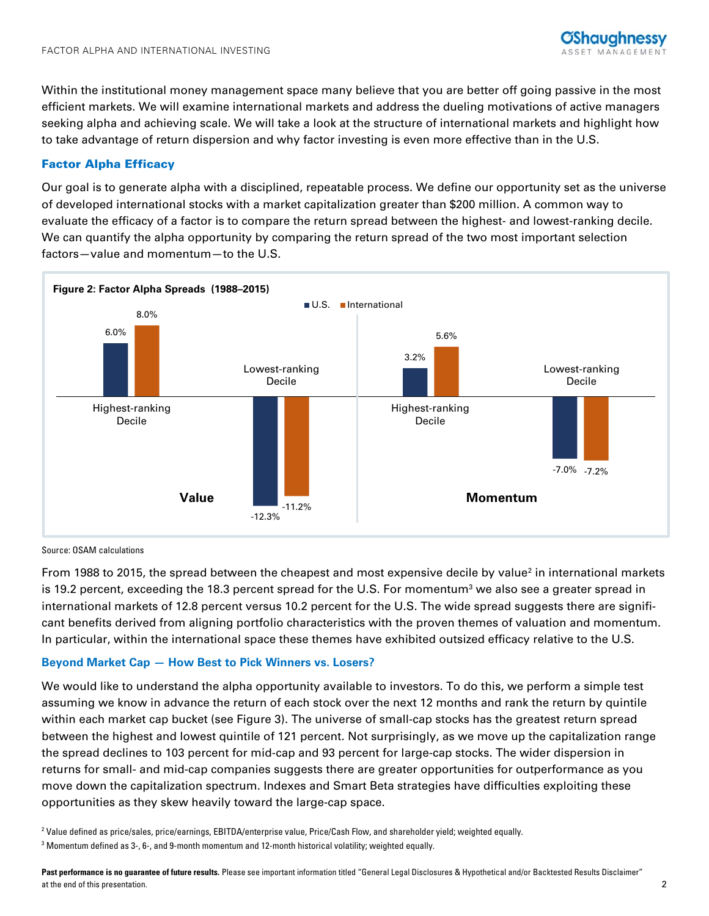Within the institutional money management space many believe that you are better off going passive in the most efficient markets. We will examine international markets and address the dueling motivations of active managers seeking alpha and achieving scale. We will take a look at the structure of international markets and highlight how to take advantage of return dispersion and why factor investing is even more effective than in the U.S.

# Factor Alpha Efficacy

Our goal is to generate alpha with a disciplined, repeatable process. We define our opportunity set as the universe of developed international stocks with a market capitalization greater than \$200 million. A common way to evaluate the efficacy of a factor is to compare the return spread between the highest- and lowest-ranking decile. We can quantify the alpha opportunity by comparing the return spread of the two most important selection factors—value and momentum—to the U.S.



#### Source: OSAM calculations

From 1988 to 2015, the spread between the cheapest and most expensive decile by value<sup>2</sup> in international markets is 19.2 percent, exceeding the 18.3 percent spread for the U.S. For momentum $^3$  we also see a greater spread in international markets of 12.8 percent versus 10.2 percent for the U.S. The wide spread suggests there are significant benefits derived from aligning portfolio characteristics with the proven themes of valuation and momentum. In particular, within the international space these themes have exhibited outsized efficacy relative to the U.S.

# **Beyond Market Cap — How Best to Pick Winners vs. Losers?**

We would like to understand the alpha opportunity available to investors. To do this, we perform a simple test assuming we know in advance the return of each stock over the next 12 months and rank the return by quintile within each market cap bucket (see Figure 3). The universe of small-cap stocks has the greatest return spread between the highest and lowest quintile of 121 percent. Not surprisingly, as we move up the capitalization range the spread declines to 103 percent for mid-cap and 93 percent for large-cap stocks. The wider dispersion in returns for small- and mid-cap companies suggests there are greater opportunities for outperformance as you move down the capitalization spectrum. Indexes and Smart Beta strategies have difficulties exploiting these opportunities as they skew heavily toward the large-cap space.

2 Value defined as price/sales, price/earnings, EBITDA/enterprise value, Price/Cash Flow, and shareholder yield; weighted equally.

 $^3$  Momentum defined as 3-, 6-, and 9-month momentum and 12-month historical volatility; weighted equally.  $\,$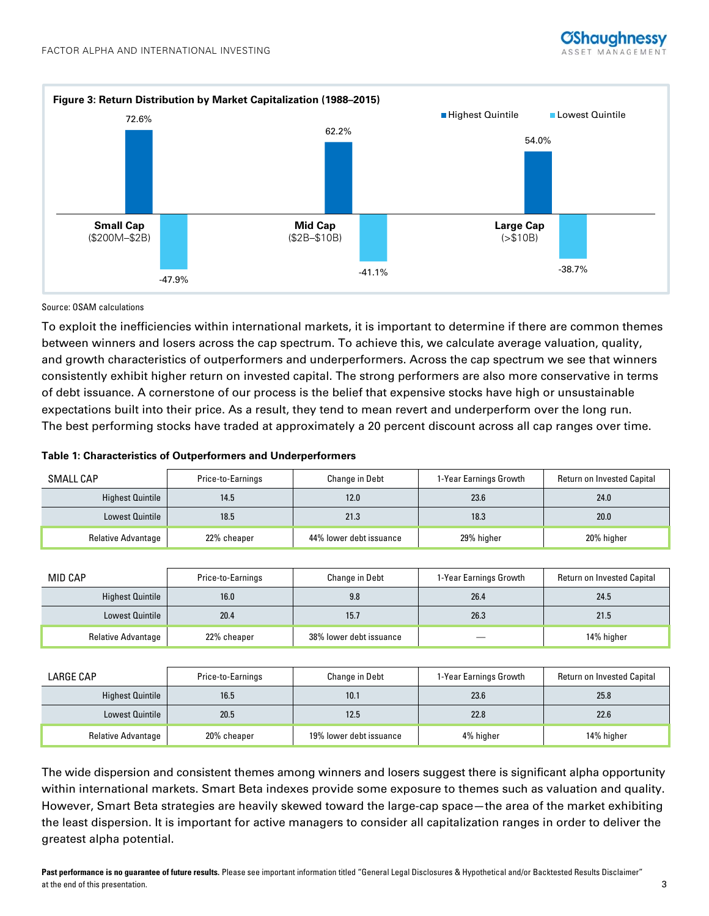



### Source: OSAM calculations

To exploit the inefficiencies within international markets, it is important to determine if there are common themes between winners and losers across the cap spectrum. To achieve this, we calculate average valuation, quality, and growth characteristics of outperformers and underperformers. Across the cap spectrum we see that winners consistently exhibit higher return on invested capital. The strong performers are also more conservative in terms of debt issuance. A cornerstone of our process is the belief that expensive stocks have high or unsustainable expectations built into their price. As a result, they tend to mean revert and underperform over the long run. The best performing stocks have traded at approximately a 20 percent discount across all cap ranges over time.

#### **Table 1: Characteristics of Outperformers and Underperformers**

| SMALL CAP                 | Price-to-Earnings | <b>Change in Debt</b>   | 1-Year Earnings Growth | <b>Return on Invested Capital</b> |
|---------------------------|-------------------|-------------------------|------------------------|-----------------------------------|
| <b>Highest Quintile</b>   | 14.5              | 12.0                    | 23.6                   | 24.0                              |
| <b>Lowest Quintile</b>    | 18.5              | 21.3                    | 18.3                   | 20.0                              |
| <b>Relative Advantage</b> | 22% cheaper       | 44% lower debt issuance | 29% higher             | 20% higher                        |

| MID CAP                 | Price-to-Earnings | <b>Change in Debt</b>   | 1-Year Earnings Growth | Return on Invested Capital |
|-------------------------|-------------------|-------------------------|------------------------|----------------------------|
| <b>Highest Quintile</b> | 16.0              | 9.8                     | 26.4                   | 24.5                       |
| <b>Lowest Quintile</b>  | 20.4              | 15.7                    | 26.3                   | 21.5                       |
| Relative Advantage      | 22% cheaper       | 38% lower debt issuance |                        | 14% higher                 |

| LARGE CAP                 | Price-to-Earnings | <b>Change in Debt</b>   | 1-Year Earnings Growth | <b>Return on Invested Capital</b> |
|---------------------------|-------------------|-------------------------|------------------------|-----------------------------------|
| Highest Quintile          | 16.5              | 10.1                    | 23.6                   | 25.8                              |
| <b>Lowest Quintile</b>    | 20.5              | 12.5                    | 22.8                   | 22.6                              |
| <b>Relative Advantage</b> | 20% cheaper       | 19% lower debt issuance | 4% higher              | 14% higher                        |

The wide dispersion and consistent themes among winners and losers suggest there is significant alpha opportunity within international markets. Smart Beta indexes provide some exposure to themes such as valuation and quality. However, Smart Beta strategies are heavily skewed toward the large-cap space—the area of the market exhibiting the least dispersion. It is important for active managers to consider all capitalization ranges in order to deliver the greatest alpha potential.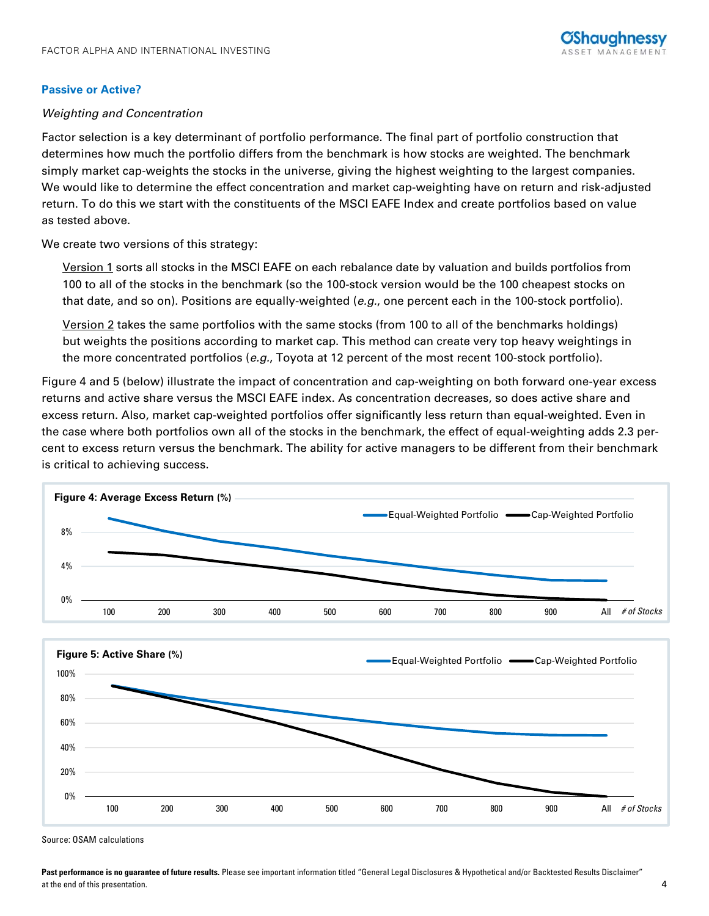# **Passive or Active?**

# Weighting and Concentration

Factor selection is a key determinant of portfolio performance. The final part of portfolio construction that determines how much the portfolio differs from the benchmark is how stocks are weighted. The benchmark simply market cap-weights the stocks in the universe, giving the highest weighting to the largest companies. We would like to determine the effect concentration and market cap-weighting have on return and risk-adjusted return. To do this we start with the constituents of the MSCI EAFE Index and create portfolios based on value as tested above.

We create two versions of this strategy:

Version 1 sorts all stocks in the MSCI EAFE on each rebalance date by valuation and builds portfolios from 100 to all of the stocks in the benchmark (so the 100-stock version would be the 100 cheapest stocks on that date, and so on). Positions are equally-weighted (e.g., one percent each in the 100-stock portfolio).

Version 2 takes the same portfolios with the same stocks (from 100 to all of the benchmarks holdings) but weights the positions according to market cap. This method can create very top heavy weightings in the more concentrated portfolios (e.g., Toyota at 12 percent of the most recent 100-stock portfolio).

Figure 4 and 5 (below) illustrate the impact of concentration and cap-weighting on both forward one-year excess returns and active share versus the MSCI EAFE index. As concentration decreases, so does active share and excess return. Also, market cap-weighted portfolios offer significantly less return than equal-weighted. Even in the case where both portfolios own all of the stocks in the benchmark, the effect of equal-weighting adds 2.3 percent to excess return versus the benchmark. The ability for active managers to be different from their benchmark is critical to achieving success.





Source: OSAM calculations

Past performance is no guarantee of future results. Please see important information titled "General Legal Disclosures & Hypothetical and/or Backtested Results Disclaimer" at the end of this presentation. 4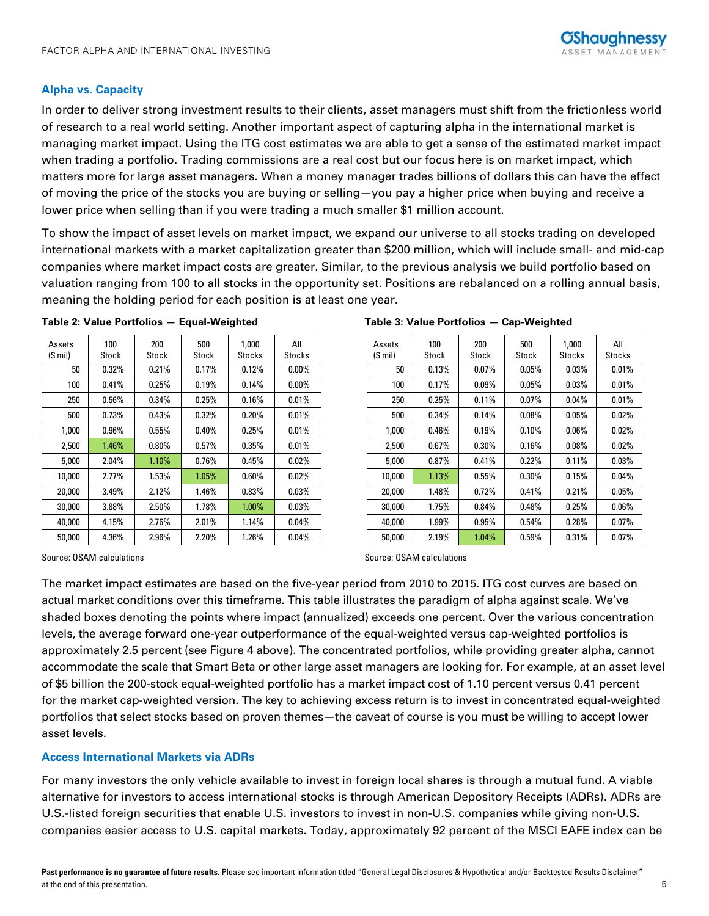# **Alpha vs. Capacity**

In order to deliver strong investment results to their clients, asset managers must shift from the frictionless world of research to a real world setting. Another important aspect of capturing alpha in the international market is managing market impact. Using the ITG cost estimates we are able to get a sense of the estimated market impact when trading a portfolio. Trading commissions are a real cost but our focus here is on market impact, which matters more for large asset managers. When a money manager trades billions of dollars this can have the effect of moving the price of the stocks you are buying or selling—you pay a higher price when buying and receive a lower price when selling than if you were trading a much smaller \$1 million account.

To show the impact of asset levels on market impact, we expand our universe to all stocks trading on developed international markets with a market capitalization greater than \$200 million, which will include small- and mid-cap companies where market impact costs are greater. Similar, to the previous analysis we build portfolio based on valuation ranging from 100 to all stocks in the opportunity set. Positions are rebalanced on a rolling annual basis, meaning the holding period for each position is at least one year.

| Assets<br>(\$ mil) | 100<br>Stock | 200<br>Stock | 500<br>Stock | 1,000<br>Stocks | All<br>Stocks |
|--------------------|--------------|--------------|--------------|-----------------|---------------|
| 50                 | 0.32%        | 0.21%        | 0.17%        | 0.12%           | $0.00\%$      |
| 100                | 0.41%        | 0.25%        | 0.19%        | 0.14%           | $0.00\%$      |
| 250                | 0.56%        | 0.34%        | 0.25%        | 0.16%           | 0.01%         |
| 500                | 0.73%        | 0.43%        | 0.32%        | 0.20%           | 0.01%         |
| 1,000              | 0.96%        | 0.55%        | 0.40%        | 0.25%           | 0.01%         |
| 2,500              | $1.46\%$     | $0.80\%$     | 0.57%        | 0.35%           | 0.01%         |
| 5,000              | 2.04%        | $1.10\%$     | 0.76%        | 0.45%           | $0.02\%$      |
| 10,000             | 2.77%        | 1.53%        | $1.05\%$     | 0.60%           | 0.02%         |
| 20,000             | 3.49%        | 2.12%        | 1.46%        | 0.83%           | 0.03%         |
| 30,000             | 3.88%        | 2.50%        | 1.78%        | $1.00\%$        | 0.03%         |
| 40,000             | 4.15%        | 2.76%        | 2.01%        | 1.14%           | $0.04\%$      |
| 50,000             | 4.36%        | 2.96%        | 2.20%        | 1.26%           | 0.04%         |

#### **Table 2: Value Portfolios — Equal-Weighted Table 3: Value Portfolios — Cap-Weighted**

| sets<br>mil) | 100<br>Stock | 200<br>Stock | 500<br>Stock | 1,000<br>Stocks | All<br>Stocks | Assets<br>$(S \text{ mil})$ | 100<br>Stock | 200<br>Stock | 500<br>Stock | 1,000<br>Stocks | All<br>Stocks |
|--------------|--------------|--------------|--------------|-----------------|---------------|-----------------------------|--------------|--------------|--------------|-----------------|---------------|
| 50           | 0.32%        | 0.21%        | 0.17%        | 0.12%           | $0.00\%$      | 50                          | 0.13%        | 0.07%        | 0.05%        | 0.03%           | 0.01%         |
| 100          | 0.41%        | 0.25%        | 0.19%        | 0.14%           | $0.00\%$      | 100                         | 0.17%        | 0.09%        | 0.05%        | 0.03%           | 0.01%         |
| 250          | 0.56%        | 0.34%        | 0.25%        | 0.16%           | 0.01%         | 250                         | 0.25%        | 0.11%        | 0.07%        | 0.04%           | 0.01%         |
| 500          | 0.73%        | 0.43%        | $0.32\%$     | 0.20%           | 0.01%         | 500                         | 0.34%        | 0.14%        | 0.08%        | 0.05%           | 0.02%         |
| 1,000        | $0.96\%$     | 0.55%        | 0.40%        | 0.25%           | $0.01\%$      | 1,000                       | $0.46\%$     | 0.19%        | 0.10%        | $0.06\%$        | 0.02%         |
| 2,500        | 1.46%        | $0.80\%$     | 0.57%        | 0.35%           | 0.01%         | 2,500                       | 0.67%        | 0.30%        | 0.16%        | $0.08\%$        | 0.02%         |
| 5,000        | 2.04%        | $1.10\%$     | 0.76%        | 0.45%           | $0.02\%$      | 5,000                       | 0.87%        | 0.41%        | 0.22%        | 0.11%           | 0.03%         |
| 10,000       | 2.77%        | 1.53%        | 1.05%        | $0.60\%$        | $0.02\%$      | 10,000                      | 1.13%        | 0.55%        | 0.30%        | 0.15%           | 0.04%         |
| 20,000       | 3.49%        | 2.12%        | 1.46%        | 0.83%           | $0.03\%$      | 20,000                      | 1.48%        | 0.72%        | 0.41%        | 0.21%           | 0.05%         |
| 30,000       | 3.88%        | 2.50%        | 1.78%        | $1.00\%$        | $0.03\%$      | 30,000                      | 1.75%        | 0.84%        | 0.48%        | 0.25%           | 0.06%         |
| 40,000       | 4.15%        | $2.76\%$     | 2.01%        | 1.14%           | $0.04\%$      | 40,000                      | 1.99%        | 0.95%        | 0.54%        | 0.28%           | 0.07%         |
| 50,000       | 4.36%        | 2.96%        | 2.20%        | 1.26%           | 0.04%         | 50,000                      | 2.19%        | 1.04%        | 0.59%        | 0.31%           | 0.07%         |

Source: OSAM calculations Source: OSAM calculations Source: OSAM calculations

The market impact estimates are based on the five-year period from 2010 to 2015. ITG cost curves are based on actual market conditions over this timeframe. This table illustrates the paradigm of alpha against scale. We've shaded boxes denoting the points where impact (annualized) exceeds one percent. Over the various concentration levels, the average forward one-year outperformance of the equal-weighted versus cap-weighted portfolios is approximately 2.5 percent (see Figure 4 above). The concentrated portfolios, while providing greater alpha, cannot accommodate the scale that Smart Beta or other large asset managers are looking for. For example, at an asset level of \$5 billion the 200-stock equal-weighted portfolio has a market impact cost of 1.10 percent versus 0.41 percent for the market cap-weighted version. The key to achieving excess return is to invest in concentrated equal-weighted portfolios that select stocks based on proven themes—the caveat of course is you must be willing to accept lower asset levels.

# **Access International Markets via ADRs**

For many investors the only vehicle available to invest in foreign local shares is through a mutual fund. A viable alternative for investors to access international stocks is through American Depository Receipts (ADRs). ADRs are U.S.-listed foreign securities that enable U.S. investors to invest in non-U.S. companies while giving non-U.S. companies easier access to U.S. capital markets. Today, approximately 92 percent of the MSCI EAFE index can be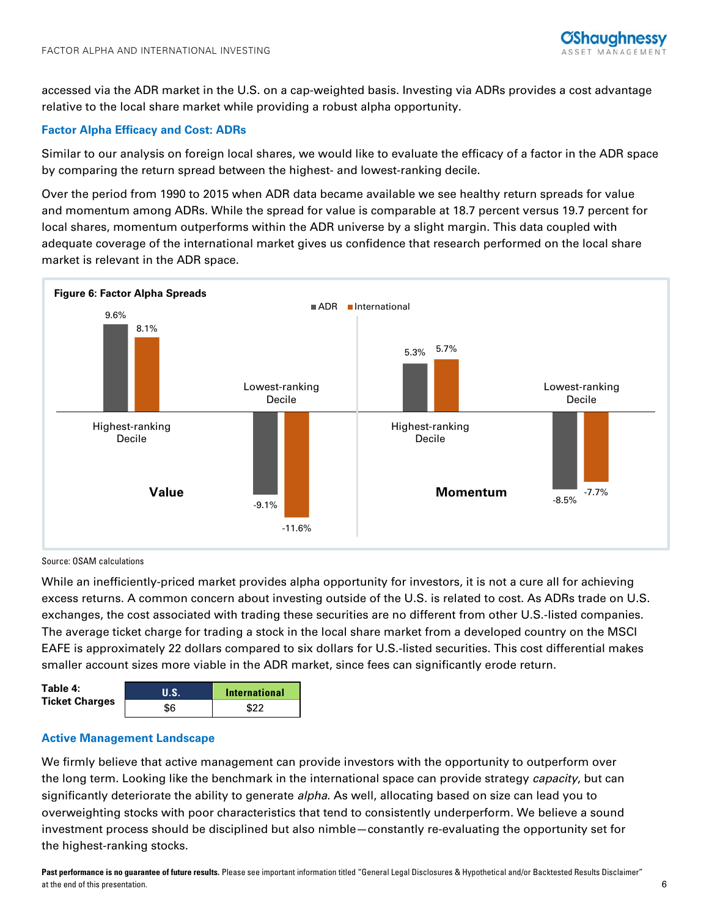accessed via the ADR market in the U.S. on a cap-weighted basis. Investing via ADRs provides a cost advantage relative to the local share market while providing a robust alpha opportunity.

# **Factor Alpha Efficacy and Cost: ADRs**

Similar to our analysis on foreign local shares, we would like to evaluate the efficacy of a factor in the ADR space by comparing the return spread between the highest- and lowest-ranking decile.

Over the period from 1990 to 2015 when ADR data became available we see healthy return spreads for value and momentum among ADRs. While the spread for value is comparable at 18.7 percent versus 19.7 percent for local shares, momentum outperforms within the ADR universe by a slight margin. This data coupled with adequate coverage of the international market gives us confidence that research performed on the local share market is relevant in the ADR space.



#### Source: OSAM calculations

While an inefficiently-priced market provides alpha opportunity for investors, it is not a cure all for achieving excess returns. A common concern about investing outside of the U.S. is related to cost. As ADRs trade on U.S. exchanges, the cost associated with trading these securities are no different from other U.S.-listed companies. The average ticket charge for trading a stock in the local share market from a developed country on the MSCI EAFE is approximately 22 dollars compared to six dollars for U.S.-listed securities. This cost differential makes smaller account sizes more viable in the ADR market, since fees can significantly erode return.

| Table 4:<br><b>Ticket Charges</b> | <b>TILS.</b> | <b>International</b> |  |  |
|-----------------------------------|--------------|----------------------|--|--|
|                                   | \$6          | \$22                 |  |  |

# **Active Management Landscape**

We firmly believe that active management can provide investors with the opportunity to outperform over the long term. Looking like the benchmark in the international space can provide strategy *capacity*, but can significantly deteriorate the ability to generate *alpha*. As well, allocating based on size can lead you to overweighting stocks with poor characteristics that tend to consistently underperform. We believe a sound investment process should be disciplined but also nimble—constantly re-evaluating the opportunity set for the highest-ranking stocks.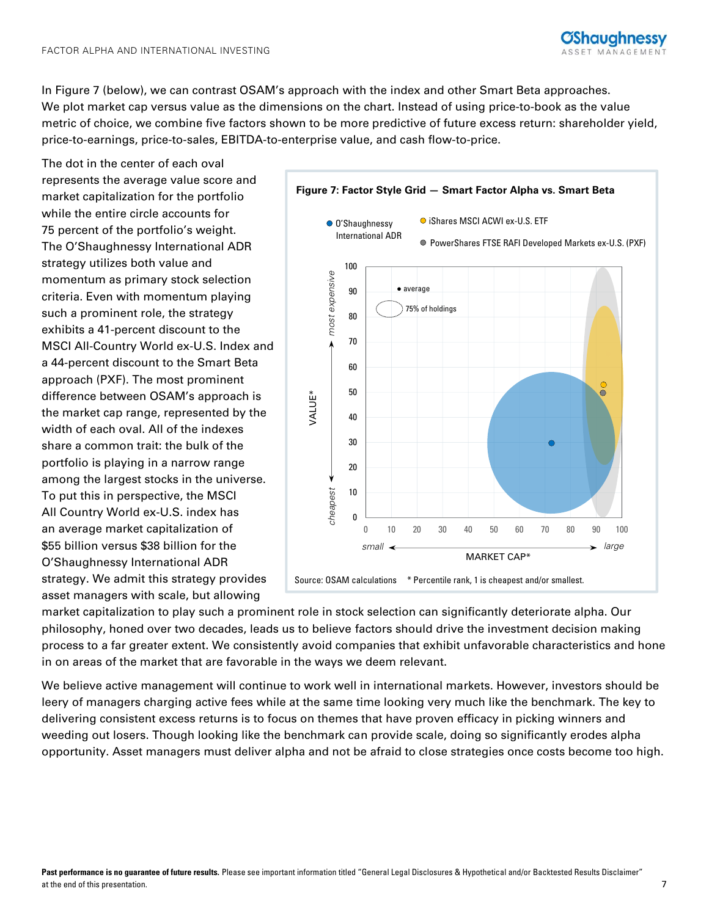In Figure 7 (below), we can contrast OSAM's approach with the index and other Smart Beta approaches. We plot market cap versus value as the dimensions on the chart. Instead of using price-to-book as the value metric of choice, we combine five factors shown to be more predictive of future excess return: shareholder yield, price-to-earnings, price-to-sales, EBITDA-to-enterprise value, and cash flow-to-price.

The dot in the center of each oval represents the average value score and market capitalization for the portfolio while the entire circle accounts for 75 percent of the portfolio's weight. The O'Shaughnessy International ADR strategy utilizes both value and momentum as primary stock selection criteria. Even with momentum playing such a prominent role, the strategy exhibits a 41-percent discount to the MSCI All-Country World ex-U.S. Index and a 44-percent discount to the Smart Beta approach (PXF). The most prominent difference between OSAM's approach is the market cap range, represented by the width of each oval. All of the indexes share a common trait: the bulk of the portfolio is playing in a narrow range among the largest stocks in the universe. To put this in perspective, the MSCI All Country World ex-U.S. index has an average market capitalization of \$55 billion versus \$38 billion for the O'Shaughnessy International ADR strategy. We admit this strategy provides asset managers with scale, but allowing



market capitalization to play such a prominent role in stock selection can significantly deteriorate alpha. Our philosophy, honed over two decades, leads us to believe factors should drive the investment decision making process to a far greater extent. We consistently avoid companies that exhibit unfavorable characteristics and hone in on areas of the market that are favorable in the ways we deem relevant.

We believe active management will continue to work well in international markets. However, investors should be leery of managers charging active fees while at the same time looking very much like the benchmark. The key to delivering consistent excess returns is to focus on themes that have proven efficacy in picking winners and weeding out losers. Though looking like the benchmark can provide scale, doing so significantly erodes alpha opportunity. Asset managers must deliver alpha and not be afraid to close strategies once costs become too high.